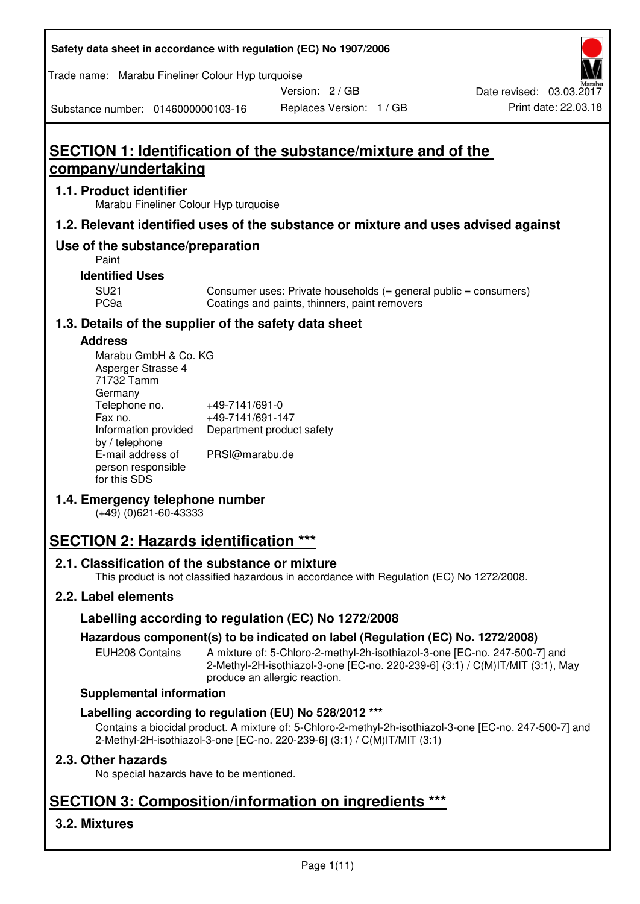| Safety data sheet in accordance with regulation (EC) No 1907/2006 |  |
|-------------------------------------------------------------------|--|
|-------------------------------------------------------------------|--|

Trade name: Marabu Fineliner Colour Hyp turquoise

Version: 2 / GB



Substance number: 0146000000103-16

# **SECTION 1: Identification of the substance/mixture and of the company/undertaking**

## **1.1. Product identifier**

Marabu Fineliner Colour Hyp turquoise

# **1.2. Relevant identified uses of the substance or mixture and uses advised against**

# **Use of the substance/preparation**

Paint

## **Identified Uses**

SU21 Consumer uses: Private households (= general public = consumers)<br>PC9a Coatings and paints, thinners, paint removers Coatings and paints, thinners, paint removers

# **1.3. Details of the supplier of the safety data sheet**

## **Address**

| Marabu GmbH & Co. KG |                           |
|----------------------|---------------------------|
| Asperger Strasse 4   |                           |
| 71732 Tamm           |                           |
| Germany              |                           |
| Telephone no.        | +49-7141/691-0            |
| Fax no.              | +49-7141/691-147          |
| Information provided | Department product safety |
| by / telephone       |                           |
| E-mail address of    | PRSI@marabu.de            |
| person responsible   |                           |
| for this SDS         |                           |

# **1.4. Emergency telephone number**

(+49) (0)621-60-43333

# **SECTION 2: Hazards identification \*\*\***

# **2.1. Classification of the substance or mixture**

This product is not classified hazardous in accordance with Regulation (EC) No 1272/2008.

# **2.2. Label elements**

# **Labelling according to regulation (EC) No 1272/2008**

# **Hazardous component(s) to be indicated on label (Regulation (EC) No. 1272/2008)**

EUH208 Contains A mixture of: 5-Chloro-2-methyl-2h-isothiazol-3-one [EC-no. 247-500-7] and 2-Methyl-2H-isothiazol-3-one [EC-no. 220-239-6] (3:1) / C(M)IT/MIT (3:1), May produce an allergic reaction.

#### **Supplemental information**

# **Labelling according to regulation (EU) No 528/2012 \*\*\***

Contains a biocidal product. A mixture of: 5-Chloro-2-methyl-2h-isothiazol-3-one [EC-no. 247-500-7] and 2-Methyl-2H-isothiazol-3-one [EC-no. 220-239-6] (3:1) / C(M)IT/MIT (3:1)

# **2.3. Other hazards**

No special hazards have to be mentioned.

# **SECTION 3: Composition/information on ingredients \*\*\***

# **3.2. Mixtures**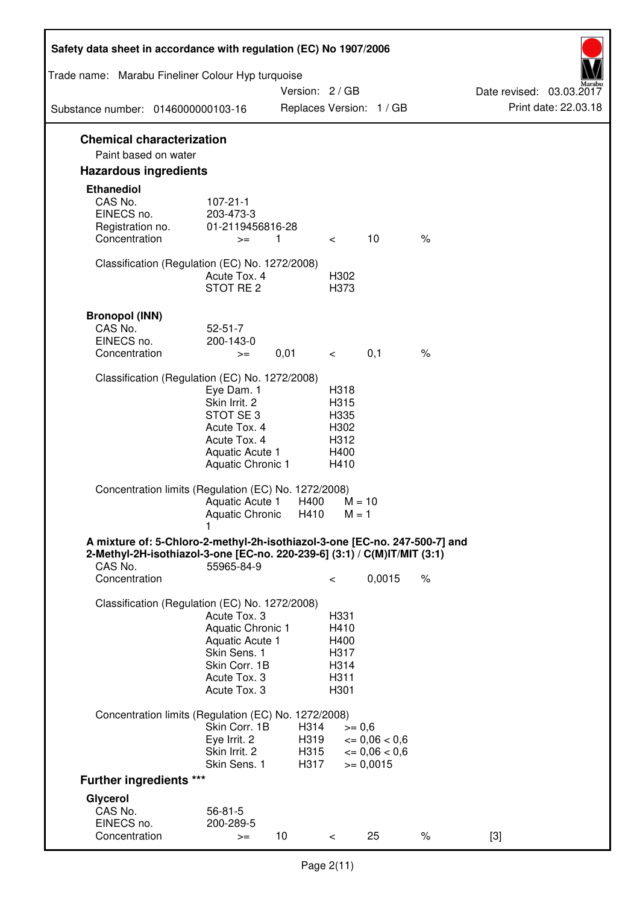| Safety data sheet in accordance with regulation (EC) No 1907/2006                                                                                                 |                                                                                                                       |                              |                                                      |                                                                   |      |                                                  |
|-------------------------------------------------------------------------------------------------------------------------------------------------------------------|-----------------------------------------------------------------------------------------------------------------------|------------------------------|------------------------------------------------------|-------------------------------------------------------------------|------|--------------------------------------------------|
| Trade name: Marabu Fineliner Colour Hyp turquoise                                                                                                                 |                                                                                                                       |                              |                                                      |                                                                   |      |                                                  |
| Substance number: 0146000000103-16                                                                                                                                |                                                                                                                       | Version: 2 / GB              |                                                      | Replaces Version: 1 / GB                                          |      | Date revised: 03.03.2017<br>Print date: 22.03.18 |
| <b>Chemical characterization</b>                                                                                                                                  |                                                                                                                       |                              |                                                      |                                                                   |      |                                                  |
| Paint based on water                                                                                                                                              |                                                                                                                       |                              |                                                      |                                                                   |      |                                                  |
| <b>Hazardous ingredients</b>                                                                                                                                      |                                                                                                                       |                              |                                                      |                                                                   |      |                                                  |
| <b>Ethanediol</b><br>CAS No.<br>EINECS no.<br>Registration no.<br>Concentration                                                                                   | $107 - 21 - 1$<br>203-473-3<br>01-2119456816-28<br>$>=$                                                               | $\mathbf{1}$                 | $\lt$                                                | 10                                                                | $\%$ |                                                  |
|                                                                                                                                                                   |                                                                                                                       |                              |                                                      |                                                                   |      |                                                  |
| Classification (Regulation (EC) No. 1272/2008)                                                                                                                    | Acute Tox, 4<br>STOT RE <sub>2</sub>                                                                                  |                              | H302<br>H373                                         |                                                                   |      |                                                  |
| <b>Bronopol (INN)</b>                                                                                                                                             |                                                                                                                       |                              |                                                      |                                                                   |      |                                                  |
| CAS No.                                                                                                                                                           | $52 - 51 - 7$                                                                                                         |                              |                                                      |                                                                   |      |                                                  |
| EINECS no.                                                                                                                                                        | 200-143-0                                                                                                             |                              |                                                      |                                                                   |      |                                                  |
| Concentration                                                                                                                                                     | $>=$                                                                                                                  | 0,01                         | $\,<\,$                                              | 0,1                                                               | $\%$ |                                                  |
| Classification (Regulation (EC) No. 1272/2008)                                                                                                                    | Eye Dam. 1<br>Skin Irrit. 2<br>STOT SE3<br>Acute Tox. 4<br>Acute Tox. 4<br>Aquatic Acute 1<br>Aquatic Chronic 1       |                              | H318<br>H315<br>H335<br>H302<br>H312<br>H400<br>H410 |                                                                   |      |                                                  |
| Concentration limits (Regulation (EC) No. 1272/2008)                                                                                                              | Aquatic Acute 1<br><b>Aquatic Chronic</b>                                                                             | H400<br>H410                 | $M = 1$                                              | $M = 10$                                                          |      |                                                  |
| A mixture of: 5-Chloro-2-methyl-2h-isothiazol-3-one [EC-no. 247-500-7] and<br>2-Methyl-2H-isothiazol-3-one [EC-no. 220-239-6] (3:1) / C(M)IT/MIT (3:1)<br>CAS No. | 55965-84-9                                                                                                            |                              |                                                      |                                                                   |      |                                                  |
| Concentration                                                                                                                                                     |                                                                                                                       |                              | $\,<\,$                                              | 0,0015                                                            | $\%$ |                                                  |
| Classification (Regulation (EC) No. 1272/2008)                                                                                                                    | Acute Tox, 3<br>Aquatic Chronic 1<br>Aquatic Acute 1<br>Skin Sens. 1<br>Skin Corr. 1B<br>Acute Tox. 3<br>Acute Tox. 3 |                              | H331<br>H410<br>H400<br>H317<br>H314<br>H311<br>H301 |                                                                   |      |                                                  |
| Concentration limits (Regulation (EC) No. 1272/2008)                                                                                                              |                                                                                                                       |                              |                                                      |                                                                   |      |                                                  |
|                                                                                                                                                                   | Skin Corr. 1B<br>Eye Irrit. 2<br>Skin Irrit. 2<br>Skin Sens. 1                                                        | H314<br>H319<br>H315<br>H317 | $>= 0,6$                                             | $\epsilon = 0.06 < 0.6$<br>$\epsilon = 0.06 < 0.6$<br>$>= 0,0015$ |      |                                                  |
| <b>Further ingredients ***</b>                                                                                                                                    |                                                                                                                       |                              |                                                      |                                                                   |      |                                                  |
| Glycerol<br>CAS No.                                                                                                                                               | $56 - 81 - 5$                                                                                                         |                              |                                                      |                                                                   |      |                                                  |
| EINECS no.<br>Concentration                                                                                                                                       | 200-289-5<br>$>=$                                                                                                     | 10                           | $\,<\,$                                              | 25                                                                | $\%$ | $[3]$                                            |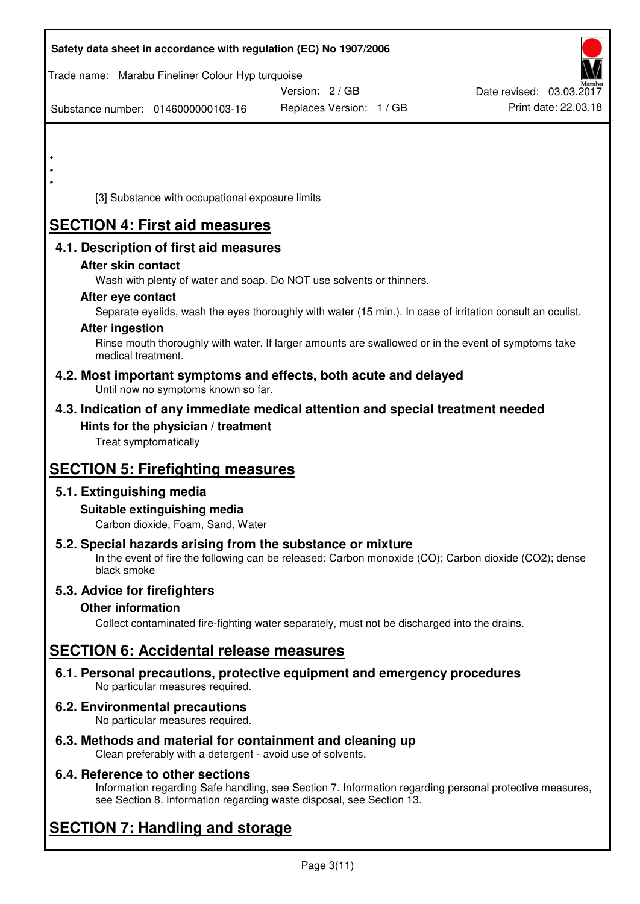| Safety data sheet in accordance with regulation (EC) No 1907/2006         |                                                                                                            |                          |
|---------------------------------------------------------------------------|------------------------------------------------------------------------------------------------------------|--------------------------|
| Trade name: Marabu Fineliner Colour Hyp turquoise                         | Version: 2/GB                                                                                              | Date revised: 03.03.2017 |
| Substance number: 0146000000103-16                                        | Replaces Version: 1 / GB                                                                                   | Print date: 22.03.18     |
|                                                                           |                                                                                                            |                          |
| $\star$                                                                   |                                                                                                            |                          |
|                                                                           |                                                                                                            |                          |
| [3] Substance with occupational exposure limits                           |                                                                                                            |                          |
| <b>SECTION 4: First aid measures</b>                                      |                                                                                                            |                          |
| 4.1. Description of first aid measures                                    |                                                                                                            |                          |
| After skin contact                                                        |                                                                                                            |                          |
| After eye contact                                                         | Wash with plenty of water and soap. Do NOT use solvents or thinners.                                       |                          |
|                                                                           | Separate eyelids, wash the eyes thoroughly with water (15 min.). In case of irritation consult an oculist. |                          |
| <b>After ingestion</b>                                                    | Rinse mouth thoroughly with water. If larger amounts are swallowed or in the event of symptoms take        |                          |
| medical treatment.                                                        |                                                                                                            |                          |
| Until now no symptoms known so far.                                       | 4.2. Most important symptoms and effects, both acute and delayed                                           |                          |
|                                                                           | 4.3. Indication of any immediate medical attention and special treatment needed                            |                          |
| Hints for the physician / treatment<br>Treat symptomatically              |                                                                                                            |                          |
|                                                                           |                                                                                                            |                          |
| <b>SECTION 5: Firefighting measures</b>                                   |                                                                                                            |                          |
| 5.1. Extinguishing media<br>Suitable extinguishing media                  |                                                                                                            |                          |
| Carbon dioxide, Foam, Sand, Water                                         |                                                                                                            |                          |
| 5.2. Special hazards arising from the substance or mixture<br>black smoke | In the event of fire the following can be released: Carbon monoxide (CO); Carbon dioxide (CO2); dense      |                          |
| 5.3. Advice for firefighters                                              |                                                                                                            |                          |
| <b>Other information</b>                                                  |                                                                                                            |                          |
|                                                                           | Collect contaminated fire-fighting water separately, must not be discharged into the drains.               |                          |
| <b>SECTION 6: Accidental release measures</b>                             |                                                                                                            |                          |
| No particular measures required.                                          | 6.1. Personal precautions, protective equipment and emergency procedures                                   |                          |
| 6.2. Environmental precautions<br>No particular measures required.        |                                                                                                            |                          |
| 6.3. Methods and material for containment and cleaning up                 |                                                                                                            |                          |

Clean preferably with a detergent - avoid use of solvents.

# **6.4. Reference to other sections**

Information regarding Safe handling, see Section 7. Information regarding personal protective measures, see Section 8. Information regarding waste disposal, see Section 13.

# **SECTION 7: Handling and storage**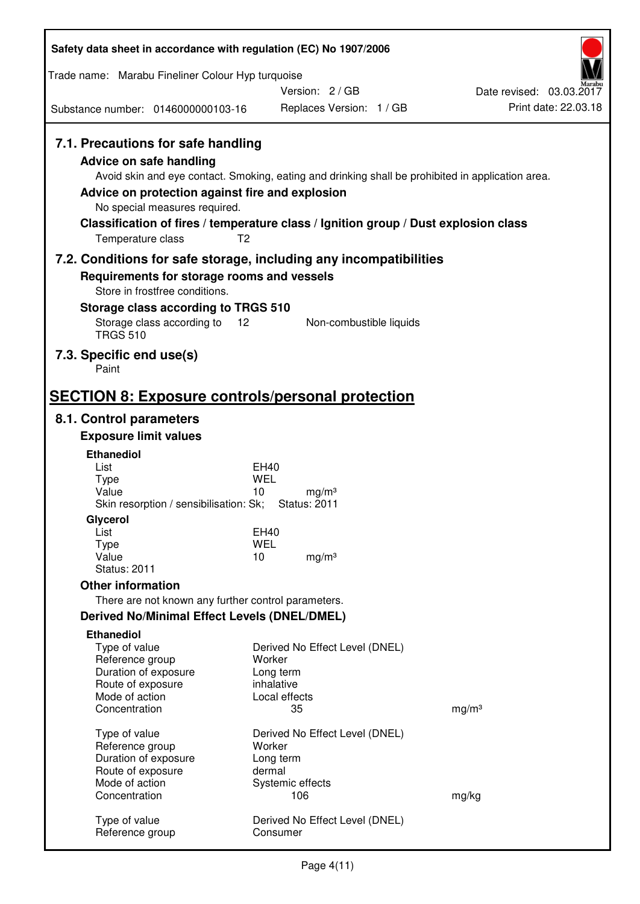| Safety data sheet in accordance with regulation (EC) No 1907/2006                                                                                                             |                                                                                                                                                                                                            |                                                  |
|-------------------------------------------------------------------------------------------------------------------------------------------------------------------------------|------------------------------------------------------------------------------------------------------------------------------------------------------------------------------------------------------------|--------------------------------------------------|
| Trade name: Marabu Fineliner Colour Hyp turquoise                                                                                                                             |                                                                                                                                                                                                            |                                                  |
|                                                                                                                                                                               | Version: 2 / GB                                                                                                                                                                                            | Date revised: 03.03.2017<br>Print date: 22.03.18 |
| Substance number: 0146000000103-16                                                                                                                                            | Replaces Version: 1 / GB                                                                                                                                                                                   |                                                  |
| 7.1. Precautions for safe handling<br><b>Advice on safe handling</b><br>Advice on protection against fire and explosion<br>No special measures required.<br>Temperature class | Avoid skin and eye contact. Smoking, eating and drinking shall be prohibited in application area.<br>Classification of fires / temperature class / Ignition group / Dust explosion class<br>T <sub>2</sub> |                                                  |
|                                                                                                                                                                               | 7.2. Conditions for safe storage, including any incompatibilities                                                                                                                                          |                                                  |
| Requirements for storage rooms and vessels                                                                                                                                    |                                                                                                                                                                                                            |                                                  |
| Store in frostfree conditions.                                                                                                                                                |                                                                                                                                                                                                            |                                                  |
| Storage class according to TRGS 510<br>Storage class according to                                                                                                             | 12<br>Non-combustible liquids                                                                                                                                                                              |                                                  |
| <b>TRGS 510</b>                                                                                                                                                               |                                                                                                                                                                                                            |                                                  |
| 7.3. Specific end use(s)<br>Paint                                                                                                                                             |                                                                                                                                                                                                            |                                                  |
|                                                                                                                                                                               |                                                                                                                                                                                                            |                                                  |
|                                                                                                                                                                               | <b>SECTION 8: Exposure controls/personal protection</b>                                                                                                                                                    |                                                  |
| 8.1. Control parameters                                                                                                                                                       |                                                                                                                                                                                                            |                                                  |
| <b>Exposure limit values</b>                                                                                                                                                  |                                                                                                                                                                                                            |                                                  |
| <b>Ethanediol</b><br>List                                                                                                                                                     | <b>EH40</b>                                                                                                                                                                                                |                                                  |
| <b>Type</b>                                                                                                                                                                   | <b>WEL</b>                                                                                                                                                                                                 |                                                  |
| Value<br>Skin resorption / sensibilisation: Sk;                                                                                                                               | 10<br>mg/m <sup>3</sup><br><b>Status: 2011</b>                                                                                                                                                             |                                                  |
| Glycerol                                                                                                                                                                      |                                                                                                                                                                                                            |                                                  |
| List<br>Type                                                                                                                                                                  | EH40<br><b>WEL</b>                                                                                                                                                                                         |                                                  |
| Value                                                                                                                                                                         | 10<br>mg/m <sup>3</sup>                                                                                                                                                                                    |                                                  |
| <b>Status: 2011</b><br><b>Other information</b>                                                                                                                               |                                                                                                                                                                                                            |                                                  |
| There are not known any further control parameters.                                                                                                                           |                                                                                                                                                                                                            |                                                  |
| <b>Derived No/Minimal Effect Levels (DNEL/DMEL)</b>                                                                                                                           |                                                                                                                                                                                                            |                                                  |
| <b>Ethanediol</b>                                                                                                                                                             |                                                                                                                                                                                                            |                                                  |
| Type of value                                                                                                                                                                 | Derived No Effect Level (DNEL)                                                                                                                                                                             |                                                  |
| Reference group<br>Duration of exposure                                                                                                                                       | Worker<br>Long term                                                                                                                                                                                        |                                                  |
| Route of exposure                                                                                                                                                             | inhalative                                                                                                                                                                                                 |                                                  |
| Mode of action<br>Concentration                                                                                                                                               | Local effects<br>35                                                                                                                                                                                        | mg/m <sup>3</sup>                                |
|                                                                                                                                                                               |                                                                                                                                                                                                            |                                                  |
| Type of value<br>Reference group                                                                                                                                              | Derived No Effect Level (DNEL)<br>Worker                                                                                                                                                                   |                                                  |
| Duration of exposure                                                                                                                                                          | Long term                                                                                                                                                                                                  |                                                  |
| Route of exposure<br>Mode of action                                                                                                                                           | dermal                                                                                                                                                                                                     |                                                  |
| Concentration                                                                                                                                                                 | Systemic effects<br>106                                                                                                                                                                                    | mg/kg                                            |
| Type of value<br>Reference group                                                                                                                                              | Derived No Effect Level (DNEL)<br>Consumer                                                                                                                                                                 |                                                  |
|                                                                                                                                                                               |                                                                                                                                                                                                            |                                                  |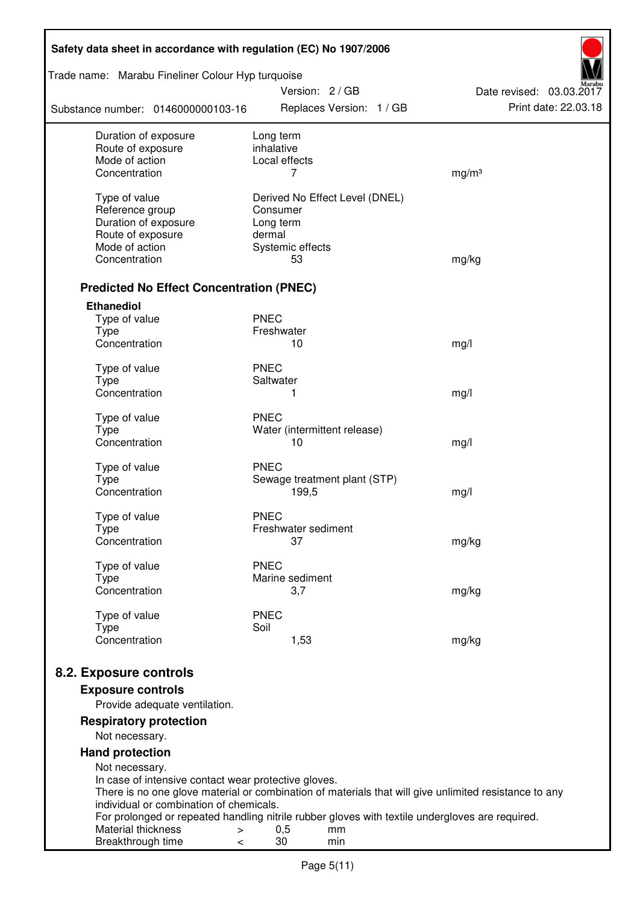| Safety data sheet in accordance with regulation (EC) No 1907/2006    |                                                                                                       |                          |  |  |  |
|----------------------------------------------------------------------|-------------------------------------------------------------------------------------------------------|--------------------------|--|--|--|
| Trade name: Marabu Fineliner Colour Hyp turquoise                    | Version: 2 / GB                                                                                       | Date revised: 03.03.2017 |  |  |  |
| Substance number: 0146000000103-16                                   | Replaces Version: 1 / GB                                                                              | Print date: 22.03.18     |  |  |  |
| Duration of exposure                                                 | Long term                                                                                             |                          |  |  |  |
| Route of exposure<br>Mode of action                                  | inhalative<br>Local effects                                                                           |                          |  |  |  |
| Concentration                                                        | 7                                                                                                     | mg/m <sup>3</sup>        |  |  |  |
|                                                                      |                                                                                                       |                          |  |  |  |
| Type of value<br>Reference group                                     | Derived No Effect Level (DNEL)<br>Consumer                                                            |                          |  |  |  |
| Duration of exposure                                                 | Long term                                                                                             |                          |  |  |  |
| Route of exposure                                                    | dermal                                                                                                |                          |  |  |  |
| Mode of action                                                       | Systemic effects                                                                                      |                          |  |  |  |
| Concentration                                                        | 53                                                                                                    | mg/kg                    |  |  |  |
|                                                                      |                                                                                                       |                          |  |  |  |
| <b>Predicted No Effect Concentration (PNEC)</b><br><b>Ethanediol</b> |                                                                                                       |                          |  |  |  |
| Type of value                                                        | <b>PNEC</b>                                                                                           |                          |  |  |  |
| <b>Type</b>                                                          | Freshwater                                                                                            |                          |  |  |  |
| Concentration                                                        | 10                                                                                                    | mg/l                     |  |  |  |
|                                                                      |                                                                                                       |                          |  |  |  |
| Type of value                                                        | <b>PNEC</b>                                                                                           |                          |  |  |  |
| <b>Type</b><br>Concentration                                         | Saltwater<br>1                                                                                        | mg/l                     |  |  |  |
|                                                                      |                                                                                                       |                          |  |  |  |
| Type of value                                                        | <b>PNEC</b>                                                                                           |                          |  |  |  |
| <b>Type</b>                                                          | Water (intermittent release)                                                                          |                          |  |  |  |
| Concentration                                                        | 10                                                                                                    | mg/l                     |  |  |  |
| Type of value                                                        | <b>PNEC</b>                                                                                           |                          |  |  |  |
| <b>Type</b>                                                          | Sewage treatment plant (STP)                                                                          |                          |  |  |  |
| Concentration                                                        | 199,5                                                                                                 | mg/l                     |  |  |  |
| Type of value                                                        | <b>PNEC</b>                                                                                           |                          |  |  |  |
| Type                                                                 | Freshwater sediment                                                                                   |                          |  |  |  |
| Concentration                                                        | 37                                                                                                    | mg/kg                    |  |  |  |
| Type of value                                                        | <b>PNEC</b>                                                                                           |                          |  |  |  |
| <b>Type</b>                                                          | Marine sediment                                                                                       |                          |  |  |  |
| Concentration                                                        | 3,7                                                                                                   | mg/kg                    |  |  |  |
|                                                                      | <b>PNEC</b>                                                                                           |                          |  |  |  |
| Type of value<br><b>Type</b>                                         | Soil                                                                                                  |                          |  |  |  |
| Concentration                                                        | 1,53                                                                                                  | mg/kg                    |  |  |  |
|                                                                      |                                                                                                       |                          |  |  |  |
| 8.2. Exposure controls                                               |                                                                                                       |                          |  |  |  |
| <b>Exposure controls</b>                                             |                                                                                                       |                          |  |  |  |
| Provide adequate ventilation.                                        |                                                                                                       |                          |  |  |  |
| <b>Respiratory protection</b><br>Not necessary.                      |                                                                                                       |                          |  |  |  |
| <b>Hand protection</b>                                               |                                                                                                       |                          |  |  |  |
| Not necessary.                                                       |                                                                                                       |                          |  |  |  |
| In case of intensive contact wear protective gloves.                 |                                                                                                       |                          |  |  |  |
|                                                                      | There is no one glove material or combination of materials that will give unlimited resistance to any |                          |  |  |  |
| individual or combination of chemicals.                              | For prolonged or repeated handling nitrile rubber gloves with textile undergloves are required.       |                          |  |  |  |
| Material thickness<br>$\, > \,$                                      | 0,5<br>mm                                                                                             |                          |  |  |  |
| Breakthrough time<br><                                               | 30<br>min                                                                                             |                          |  |  |  |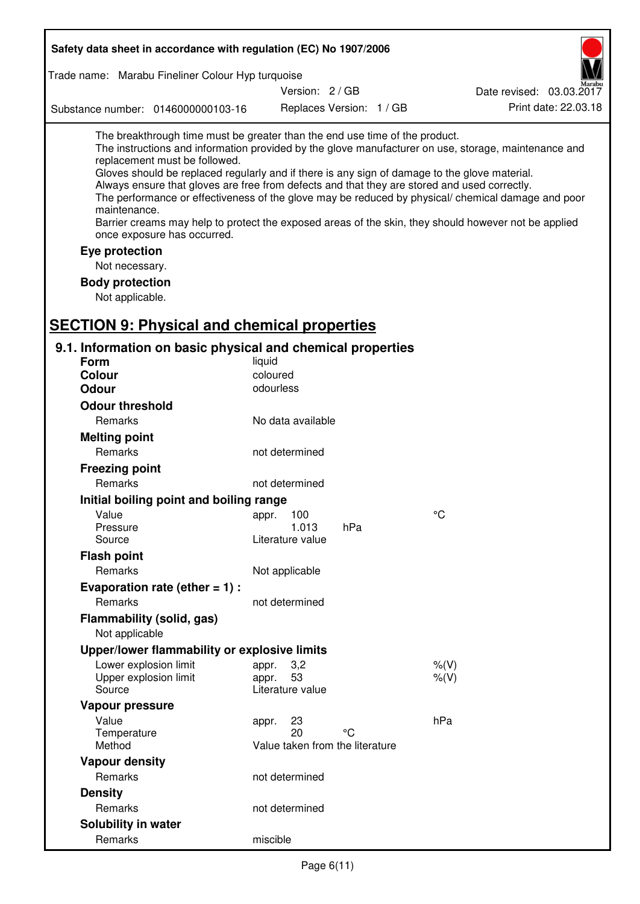|                                                                                               | Safety data sheet in accordance with regulation (EC) No 1907/2006                                                                           |                                 |                          |                                                                                                                                                                                                                                                                                                                                                                                                                                                                                                                     |
|-----------------------------------------------------------------------------------------------|---------------------------------------------------------------------------------------------------------------------------------------------|---------------------------------|--------------------------|---------------------------------------------------------------------------------------------------------------------------------------------------------------------------------------------------------------------------------------------------------------------------------------------------------------------------------------------------------------------------------------------------------------------------------------------------------------------------------------------------------------------|
|                                                                                               | Trade name: Marabu Fineliner Colour Hyp turquoise                                                                                           |                                 |                          |                                                                                                                                                                                                                                                                                                                                                                                                                                                                                                                     |
|                                                                                               |                                                                                                                                             | Version: 2 / GB                 |                          | Date revised: 03.03.2017                                                                                                                                                                                                                                                                                                                                                                                                                                                                                            |
|                                                                                               | Substance number: 0146000000103-16                                                                                                          |                                 | Replaces Version: 1 / GB | Print date: 22.03.18                                                                                                                                                                                                                                                                                                                                                                                                                                                                                                |
| maintenance.<br>Eye protection<br>Not necessary.<br><b>Body protection</b><br>Not applicable. | The breakthrough time must be greater than the end use time of the product.<br>replacement must be followed.<br>once exposure has occurred. |                                 |                          | The instructions and information provided by the glove manufacturer on use, storage, maintenance and<br>Gloves should be replaced regularly and if there is any sign of damage to the glove material.<br>Always ensure that gloves are free from defects and that they are stored and used correctly.<br>The performance or effectiveness of the glove may be reduced by physical/ chemical damage and poor<br>Barrier creams may help to protect the exposed areas of the skin, they should however not be applied |
|                                                                                               | <b>SECTION 9: Physical and chemical properties</b>                                                                                          |                                 |                          |                                                                                                                                                                                                                                                                                                                                                                                                                                                                                                                     |
| <b>Form</b>                                                                                   | 9.1. Information on basic physical and chemical properties                                                                                  | liquid                          |                          |                                                                                                                                                                                                                                                                                                                                                                                                                                                                                                                     |
| Colour                                                                                        |                                                                                                                                             | coloured                        |                          |                                                                                                                                                                                                                                                                                                                                                                                                                                                                                                                     |
| <b>Odour</b>                                                                                  |                                                                                                                                             | odourless                       |                          |                                                                                                                                                                                                                                                                                                                                                                                                                                                                                                                     |
| <b>Odour threshold</b>                                                                        |                                                                                                                                             |                                 |                          |                                                                                                                                                                                                                                                                                                                                                                                                                                                                                                                     |
| Remarks                                                                                       |                                                                                                                                             | No data available               |                          |                                                                                                                                                                                                                                                                                                                                                                                                                                                                                                                     |
| <b>Melting point</b>                                                                          |                                                                                                                                             |                                 |                          |                                                                                                                                                                                                                                                                                                                                                                                                                                                                                                                     |
| Remarks                                                                                       |                                                                                                                                             | not determined                  |                          |                                                                                                                                                                                                                                                                                                                                                                                                                                                                                                                     |
| <b>Freezing point</b>                                                                         |                                                                                                                                             |                                 |                          |                                                                                                                                                                                                                                                                                                                                                                                                                                                                                                                     |
| Remarks                                                                                       |                                                                                                                                             | not determined                  |                          |                                                                                                                                                                                                                                                                                                                                                                                                                                                                                                                     |
|                                                                                               | Initial boiling point and boiling range                                                                                                     |                                 |                          |                                                                                                                                                                                                                                                                                                                                                                                                                                                                                                                     |
| Value                                                                                         |                                                                                                                                             | 100<br>appr.                    |                          | $\rm ^{\circ}C$                                                                                                                                                                                                                                                                                                                                                                                                                                                                                                     |
| Pressure                                                                                      |                                                                                                                                             | 1.013                           | hPa                      |                                                                                                                                                                                                                                                                                                                                                                                                                                                                                                                     |
| Source                                                                                        |                                                                                                                                             | Literature value                |                          |                                                                                                                                                                                                                                                                                                                                                                                                                                                                                                                     |
| <b>Flash point</b>                                                                            |                                                                                                                                             |                                 |                          |                                                                                                                                                                                                                                                                                                                                                                                                                                                                                                                     |
| Remarks                                                                                       |                                                                                                                                             | Not applicable                  |                          |                                                                                                                                                                                                                                                                                                                                                                                                                                                                                                                     |
|                                                                                               | Evaporation rate (ether $= 1$ ) :                                                                                                           |                                 |                          |                                                                                                                                                                                                                                                                                                                                                                                                                                                                                                                     |
| Remarks                                                                                       |                                                                                                                                             | not determined                  |                          |                                                                                                                                                                                                                                                                                                                                                                                                                                                                                                                     |
| Not applicable                                                                                | Flammability (solid, gas)                                                                                                                   |                                 |                          |                                                                                                                                                                                                                                                                                                                                                                                                                                                                                                                     |
|                                                                                               | Upper/lower flammability or explosive limits                                                                                                |                                 |                          |                                                                                                                                                                                                                                                                                                                                                                                                                                                                                                                     |
|                                                                                               | Lower explosion limit                                                                                                                       | 3,2<br>appr.                    |                          | $%$ $(V)$                                                                                                                                                                                                                                                                                                                                                                                                                                                                                                           |
|                                                                                               | Upper explosion limit                                                                                                                       | 53<br>appr.                     |                          | $%$ (V)                                                                                                                                                                                                                                                                                                                                                                                                                                                                                                             |
| Source                                                                                        |                                                                                                                                             | Literature value                |                          |                                                                                                                                                                                                                                                                                                                                                                                                                                                                                                                     |
| Vapour pressure                                                                               |                                                                                                                                             |                                 |                          |                                                                                                                                                                                                                                                                                                                                                                                                                                                                                                                     |
| Value<br>Temperature                                                                          |                                                                                                                                             | 23<br>appr.<br>20               | °C                       | hPa                                                                                                                                                                                                                                                                                                                                                                                                                                                                                                                 |
| Method                                                                                        |                                                                                                                                             | Value taken from the literature |                          |                                                                                                                                                                                                                                                                                                                                                                                                                                                                                                                     |
| <b>Vapour density</b>                                                                         |                                                                                                                                             |                                 |                          |                                                                                                                                                                                                                                                                                                                                                                                                                                                                                                                     |
| Remarks                                                                                       |                                                                                                                                             | not determined                  |                          |                                                                                                                                                                                                                                                                                                                                                                                                                                                                                                                     |
| <b>Density</b>                                                                                |                                                                                                                                             |                                 |                          |                                                                                                                                                                                                                                                                                                                                                                                                                                                                                                                     |
| Remarks                                                                                       |                                                                                                                                             | not determined                  |                          |                                                                                                                                                                                                                                                                                                                                                                                                                                                                                                                     |
| Solubility in water                                                                           |                                                                                                                                             |                                 |                          |                                                                                                                                                                                                                                                                                                                                                                                                                                                                                                                     |
| Remarks                                                                                       |                                                                                                                                             | miscible                        |                          |                                                                                                                                                                                                                                                                                                                                                                                                                                                                                                                     |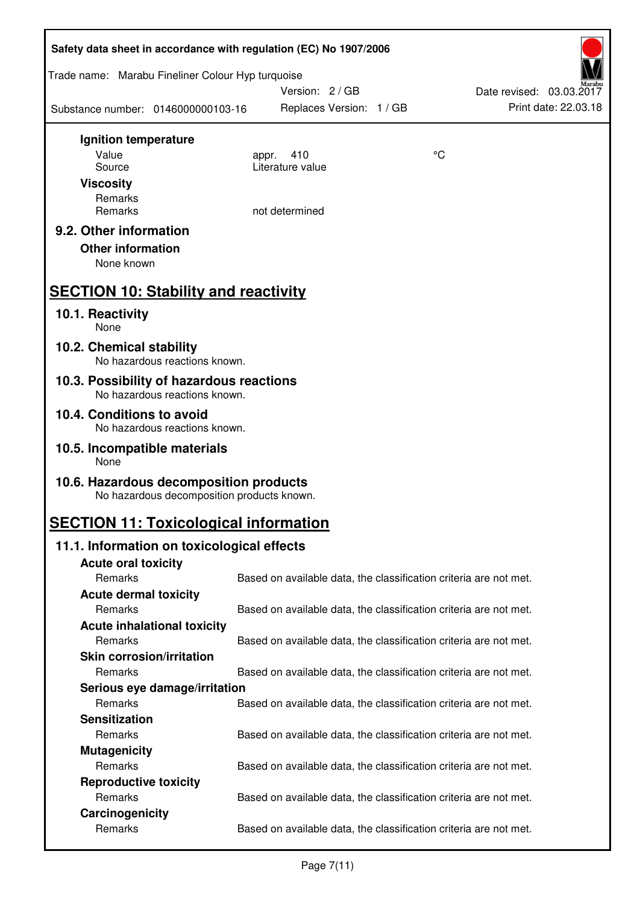| Safety data sheet in accordance with regulation (EC) No 1907/2006                    |                  |                                                                   |                          |
|--------------------------------------------------------------------------------------|------------------|-------------------------------------------------------------------|--------------------------|
| Trade name: Marabu Fineliner Colour Hyp turquoise                                    | Version: 2/GB    |                                                                   | Date revised: 03.03.2017 |
| Substance number: 0146000000103-16                                                   |                  | Replaces Version: 1 / GB                                          | Print date: 22.03.18     |
| Ignition temperature                                                                 |                  |                                                                   |                          |
| Value                                                                                | 410<br>appr.     | °C                                                                |                          |
| Source                                                                               | Literature value |                                                                   |                          |
| <b>Viscosity</b>                                                                     |                  |                                                                   |                          |
| Remarks<br>Remarks                                                                   | not determined   |                                                                   |                          |
|                                                                                      |                  |                                                                   |                          |
| 9.2. Other information<br><b>Other information</b><br>None known                     |                  |                                                                   |                          |
| <b>SECTION 10: Stability and reactivity</b>                                          |                  |                                                                   |                          |
| 10.1. Reactivity<br>None                                                             |                  |                                                                   |                          |
| 10.2. Chemical stability<br>No hazardous reactions known.                            |                  |                                                                   |                          |
| 10.3. Possibility of hazardous reactions<br>No hazardous reactions known.            |                  |                                                                   |                          |
| 10.4. Conditions to avoid<br>No hazardous reactions known.                           |                  |                                                                   |                          |
| 10.5. Incompatible materials<br>None                                                 |                  |                                                                   |                          |
| 10.6. Hazardous decomposition products<br>No hazardous decomposition products known. |                  |                                                                   |                          |
| <b>SECTION 11: Toxicological information</b>                                         |                  |                                                                   |                          |
| 11.1. Information on toxicological effects                                           |                  |                                                                   |                          |
| <b>Acute oral toxicity</b>                                                           |                  |                                                                   |                          |
| Remarks                                                                              |                  | Based on available data, the classification criteria are not met. |                          |
| <b>Acute dermal toxicity</b>                                                         |                  |                                                                   |                          |
| Remarks                                                                              |                  | Based on available data, the classification criteria are not met. |                          |
| <b>Acute inhalational toxicity</b>                                                   |                  |                                                                   |                          |
| Remarks                                                                              |                  | Based on available data, the classification criteria are not met. |                          |
| <b>Skin corrosion/irritation</b>                                                     |                  |                                                                   |                          |
| Remarks                                                                              |                  | Based on available data, the classification criteria are not met. |                          |
| Serious eye damage/irritation                                                        |                  |                                                                   |                          |
| Remarks                                                                              |                  | Based on available data, the classification criteria are not met. |                          |
| <b>Sensitization</b>                                                                 |                  |                                                                   |                          |
| Remarks                                                                              |                  | Based on available data, the classification criteria are not met. |                          |
| <b>Mutagenicity</b>                                                                  |                  |                                                                   |                          |
| Remarks                                                                              |                  | Based on available data, the classification criteria are not met. |                          |
| <b>Reproductive toxicity</b>                                                         |                  |                                                                   |                          |
| Remarks                                                                              |                  | Based on available data, the classification criteria are not met. |                          |
| Carcinogenicity                                                                      |                  |                                                                   |                          |
| Remarks                                                                              |                  | Based on available data, the classification criteria are not met. |                          |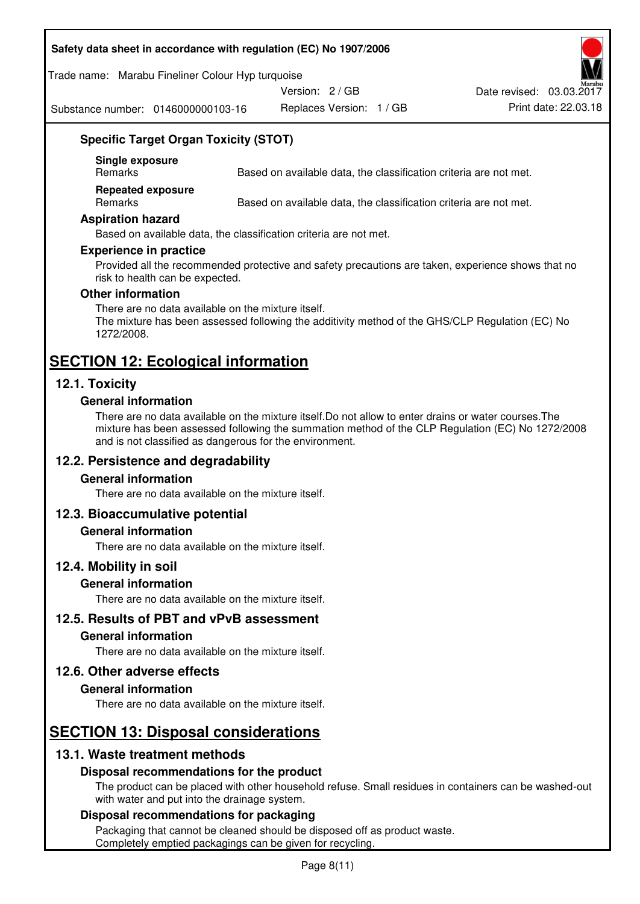#### **Safety data sheet in accordance with regulation (EC) No 1907/2006**

#### Trade name: Marabu Fineliner Colour Hyp turquoise

Version: 2 / GB

Substance number: 0146000000103-16

Replaces Version: 1 / GB Print date: 22.03.18 Date revised: 03.03.2017

# **Specific Target Organ Toxicity (STOT)**

**Single exposure** 

Based on available data, the classification criteria are not met.

**Repeated exposure** 

Remarks Based on available data, the classification criteria are not met.

#### **Aspiration hazard**

Based on available data, the classification criteria are not met.

#### **Experience in practice**

Provided all the recommended protective and safety precautions are taken, experience shows that no risk to health can be expected.

#### **Other information**

There are no data available on the mixture itself. The mixture has been assessed following the additivity method of the GHS/CLP Regulation (EC) No 1272/2008.

# **SECTION 12: Ecological information**

# **12.1. Toxicity**

#### **General information**

There are no data available on the mixture itself.Do not allow to enter drains or water courses.The mixture has been assessed following the summation method of the CLP Regulation (EC) No 1272/2008 and is not classified as dangerous for the environment.

# **12.2. Persistence and degradability**

#### **General information**

There are no data available on the mixture itself.

#### **12.3. Bioaccumulative potential**

#### **General information**

There are no data available on the mixture itself.

#### **12.4. Mobility in soil**

#### **General information**

There are no data available on the mixture itself.

**12.5. Results of PBT and vPvB assessment** 

#### **General information**

There are no data available on the mixture itself.

#### **12.6. Other adverse effects**

#### **General information**

There are no data available on the mixture itself.

# **SECTION 13: Disposal considerations**

# **13.1. Waste treatment methods**

#### **Disposal recommendations for the product**

The product can be placed with other household refuse. Small residues in containers can be washed-out with water and put into the drainage system.

#### **Disposal recommendations for packaging**

Packaging that cannot be cleaned should be disposed off as product waste. Completely emptied packagings can be given for recycling.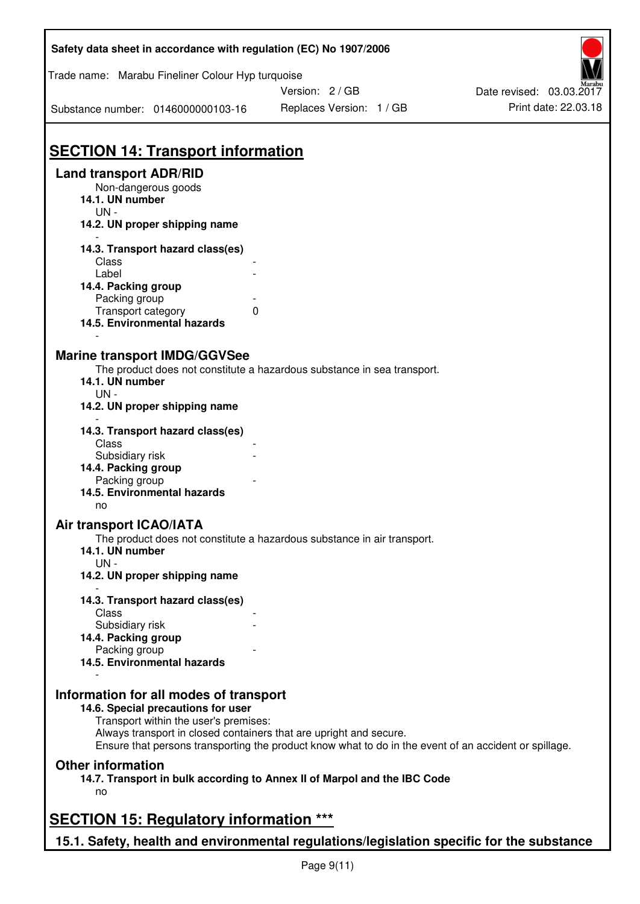| Safety data sheet in accordance with regulation (EC) No 1907/2006                         |                                                                                                       |                          |
|-------------------------------------------------------------------------------------------|-------------------------------------------------------------------------------------------------------|--------------------------|
| Trade name: Marabu Fineliner Colour Hyp turquoise                                         |                                                                                                       |                          |
|                                                                                           | Version: 2/GB                                                                                         | Date revised: 03.03.2017 |
| Substance number: 0146000000103-16                                                        | Replaces Version: 1 / GB                                                                              | Print date: 22.03.18     |
|                                                                                           |                                                                                                       |                          |
| <b>SECTION 14: Transport information</b>                                                  |                                                                                                       |                          |
| <b>Land transport ADR/RID</b><br>Non-dangerous goods                                      |                                                                                                       |                          |
| 14.1. UN number<br>$UN -$                                                                 |                                                                                                       |                          |
| 14.2. UN proper shipping name                                                             |                                                                                                       |                          |
| 14.3. Transport hazard class(es)                                                          |                                                                                                       |                          |
| Class                                                                                     |                                                                                                       |                          |
| Label                                                                                     |                                                                                                       |                          |
| 14.4. Packing group                                                                       |                                                                                                       |                          |
| Packing group                                                                             |                                                                                                       |                          |
| Transport category<br>0<br>14.5. Environmental hazards                                    |                                                                                                       |                          |
|                                                                                           |                                                                                                       |                          |
| <b>Marine transport IMDG/GGVSee</b>                                                       |                                                                                                       |                          |
| 14.1. UN number                                                                           | The product does not constitute a hazardous substance in sea transport.                               |                          |
| $UN -$<br>14.2. UN proper shipping name                                                   |                                                                                                       |                          |
| 14.3. Transport hazard class(es)<br>Class                                                 |                                                                                                       |                          |
| Subsidiary risk                                                                           |                                                                                                       |                          |
| 14.4. Packing group                                                                       |                                                                                                       |                          |
| Packing group                                                                             |                                                                                                       |                          |
| 14.5. Environmental hazards<br>no                                                         |                                                                                                       |                          |
| Air transport ICAO/IATA                                                                   |                                                                                                       |                          |
|                                                                                           | The product does not constitute a hazardous substance in air transport.                               |                          |
| 14.1. UN number<br>$UN -$                                                                 |                                                                                                       |                          |
| 14.2. UN proper shipping name                                                             |                                                                                                       |                          |
| 14.3. Transport hazard class(es)<br>Class                                                 |                                                                                                       |                          |
| Subsidiary risk                                                                           |                                                                                                       |                          |
| 14.4. Packing group                                                                       |                                                                                                       |                          |
| Packing group                                                                             |                                                                                                       |                          |
| 14.5. Environmental hazards                                                               |                                                                                                       |                          |
| Information for all modes of transport                                                    |                                                                                                       |                          |
| 14.6. Special precautions for user<br>Transport within the user's premises:               |                                                                                                       |                          |
| Always transport in closed containers that are upright and secure.                        | Ensure that persons transporting the product know what to do in the event of an accident or spillage. |                          |
| <b>Other information</b>                                                                  |                                                                                                       |                          |
| 14.7. Transport in bulk according to Annex II of Marpol and the IBC Code                  |                                                                                                       |                          |
| no                                                                                        |                                                                                                       |                          |
| <b>SECTION 15: Regulatory information ***</b>                                             |                                                                                                       |                          |
| 15.1. Safety, health and environmental regulations/legislation specific for the substance |                                                                                                       |                          |

ī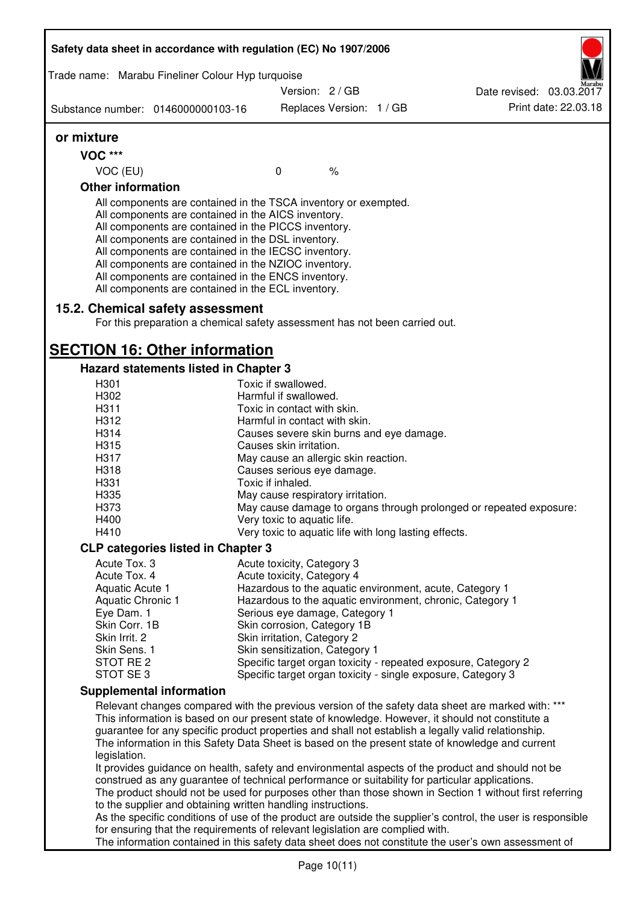| Trade name: Marabu Fineliner Colour Hyp turquoise                                                                                                                                                                                                                                                                                                                                                                                                                 |                                      |                          |                                                       |                                                                                                              |
|-------------------------------------------------------------------------------------------------------------------------------------------------------------------------------------------------------------------------------------------------------------------------------------------------------------------------------------------------------------------------------------------------------------------------------------------------------------------|--------------------------------------|--------------------------|-------------------------------------------------------|--------------------------------------------------------------------------------------------------------------|
|                                                                                                                                                                                                                                                                                                                                                                                                                                                                   | Version: 2/GB                        |                          |                                                       | Date revised: 03.03.2017                                                                                     |
| Substance number: 0146000000103-16                                                                                                                                                                                                                                                                                                                                                                                                                                |                                      | Replaces Version: 1 / GB |                                                       | Print date: 22.03.18                                                                                         |
| or mixture                                                                                                                                                                                                                                                                                                                                                                                                                                                        |                                      |                          |                                                       |                                                                                                              |
| <b>VOC ***</b>                                                                                                                                                                                                                                                                                                                                                                                                                                                    |                                      |                          |                                                       |                                                                                                              |
| VOC (EU)                                                                                                                                                                                                                                                                                                                                                                                                                                                          | $\mathbf 0$                          | $\frac{1}{6}$            |                                                       |                                                                                                              |
| <b>Other information</b>                                                                                                                                                                                                                                                                                                                                                                                                                                          |                                      |                          |                                                       |                                                                                                              |
| All components are contained in the TSCA inventory or exempted.<br>All components are contained in the AICS inventory.<br>All components are contained in the PICCS inventory.<br>All components are contained in the DSL inventory.<br>All components are contained in the IECSC inventory.<br>All components are contained in the NZIOC inventory.<br>All components are contained in the ENCS inventory.<br>All components are contained in the ECL inventory. |                                      |                          |                                                       |                                                                                                              |
| 15.2. Chemical safety assessment<br>For this preparation a chemical safety assessment has not been carried out.                                                                                                                                                                                                                                                                                                                                                   |                                      |                          |                                                       |                                                                                                              |
| <b>SECTION 16: Other information</b>                                                                                                                                                                                                                                                                                                                                                                                                                              |                                      |                          |                                                       |                                                                                                              |
| Hazard statements listed in Chapter 3                                                                                                                                                                                                                                                                                                                                                                                                                             |                                      |                          |                                                       |                                                                                                              |
| H301                                                                                                                                                                                                                                                                                                                                                                                                                                                              | Toxic if swallowed.                  |                          |                                                       |                                                                                                              |
| H302                                                                                                                                                                                                                                                                                                                                                                                                                                                              | Harmful if swallowed.                |                          |                                                       |                                                                                                              |
| H311                                                                                                                                                                                                                                                                                                                                                                                                                                                              | Toxic in contact with skin.          |                          |                                                       |                                                                                                              |
| H312                                                                                                                                                                                                                                                                                                                                                                                                                                                              | Harmful in contact with skin.        |                          |                                                       |                                                                                                              |
| H314                                                                                                                                                                                                                                                                                                                                                                                                                                                              |                                      |                          | Causes severe skin burns and eye damage.              |                                                                                                              |
| H315                                                                                                                                                                                                                                                                                                                                                                                                                                                              | Causes skin irritation.              |                          |                                                       |                                                                                                              |
| H317                                                                                                                                                                                                                                                                                                                                                                                                                                                              | May cause an allergic skin reaction. |                          |                                                       |                                                                                                              |
| H318                                                                                                                                                                                                                                                                                                                                                                                                                                                              | Causes serious eye damage.           |                          |                                                       |                                                                                                              |
| H331                                                                                                                                                                                                                                                                                                                                                                                                                                                              | Toxic if inhaled.                    |                          |                                                       |                                                                                                              |
| H335                                                                                                                                                                                                                                                                                                                                                                                                                                                              | May cause respiratory irritation.    |                          |                                                       |                                                                                                              |
| H373                                                                                                                                                                                                                                                                                                                                                                                                                                                              |                                      |                          |                                                       | May cause damage to organs through prolonged or repeated exposure:                                           |
| H400                                                                                                                                                                                                                                                                                                                                                                                                                                                              | Very toxic to aquatic life.          |                          |                                                       |                                                                                                              |
| H410                                                                                                                                                                                                                                                                                                                                                                                                                                                              |                                      |                          | Very toxic to aquatic life with long lasting effects. |                                                                                                              |
| <b>CLP categories listed in Chapter 3</b>                                                                                                                                                                                                                                                                                                                                                                                                                         |                                      |                          |                                                       |                                                                                                              |
| Acute Tox. 3                                                                                                                                                                                                                                                                                                                                                                                                                                                      | Acute toxicity, Category 3           |                          |                                                       |                                                                                                              |
| Acute Tox. 4                                                                                                                                                                                                                                                                                                                                                                                                                                                      | Acute toxicity, Category 4           |                          |                                                       |                                                                                                              |
| Aquatic Acute 1                                                                                                                                                                                                                                                                                                                                                                                                                                                   |                                      |                          |                                                       | Hazardous to the aquatic environment, acute, Category 1                                                      |
| Aquatic Chronic 1                                                                                                                                                                                                                                                                                                                                                                                                                                                 |                                      |                          |                                                       | Hazardous to the aquatic environment, chronic, Category 1                                                    |
| Eye Dam. 1                                                                                                                                                                                                                                                                                                                                                                                                                                                        | Serious eye damage, Category 1       |                          |                                                       |                                                                                                              |
| Skin Corr. 1B                                                                                                                                                                                                                                                                                                                                                                                                                                                     | Skin corrosion, Category 1B          |                          |                                                       |                                                                                                              |
| Skin Irrit. 2                                                                                                                                                                                                                                                                                                                                                                                                                                                     | Skin irritation, Category 2          |                          |                                                       |                                                                                                              |
| Skin Sens. 1                                                                                                                                                                                                                                                                                                                                                                                                                                                      | Skin sensitization, Category 1       |                          |                                                       |                                                                                                              |
| STOT RE 2                                                                                                                                                                                                                                                                                                                                                                                                                                                         |                                      |                          |                                                       | Specific target organ toxicity - repeated exposure, Category 2                                               |
| STOT SE 3                                                                                                                                                                                                                                                                                                                                                                                                                                                         |                                      |                          |                                                       | Specific target organ toxicity - single exposure, Category 3                                                 |
| <b>Supplemental information</b>                                                                                                                                                                                                                                                                                                                                                                                                                                   |                                      |                          |                                                       |                                                                                                              |
|                                                                                                                                                                                                                                                                                                                                                                                                                                                                   |                                      |                          |                                                       | Relevant changes compared with the previous version of the safety data sheet are marked with: ***            |
| This information is based on our present state of knowledge. However, it should not constitute a                                                                                                                                                                                                                                                                                                                                                                  |                                      |                          |                                                       |                                                                                                              |
| guarantee for any specific product properties and shall not establish a legally valid relationship.                                                                                                                                                                                                                                                                                                                                                               |                                      |                          |                                                       | The information in this Safety Data Sheet is based on the present state of knowledge and current             |
| legislation.                                                                                                                                                                                                                                                                                                                                                                                                                                                      |                                      |                          |                                                       |                                                                                                              |
|                                                                                                                                                                                                                                                                                                                                                                                                                                                                   |                                      |                          |                                                       | It provides guidance on health, safety and environmental aspects of the product and should not be            |
| construed as any guarantee of technical performance or suitability for particular applications.                                                                                                                                                                                                                                                                                                                                                                   |                                      |                          |                                                       |                                                                                                              |
|                                                                                                                                                                                                                                                                                                                                                                                                                                                                   |                                      |                          |                                                       | The product should not be used for purposes other than those shown in Section 1 without first referring      |
| to the supplier and obtaining written handling instructions.                                                                                                                                                                                                                                                                                                                                                                                                      |                                      |                          |                                                       |                                                                                                              |
|                                                                                                                                                                                                                                                                                                                                                                                                                                                                   |                                      |                          |                                                       | As the specific conditions of use of the product are outside the supplier's control, the user is responsible |
| for ensuring that the requirements of relevant legislation are complied with.                                                                                                                                                                                                                                                                                                                                                                                     |                                      |                          |                                                       |                                                                                                              |